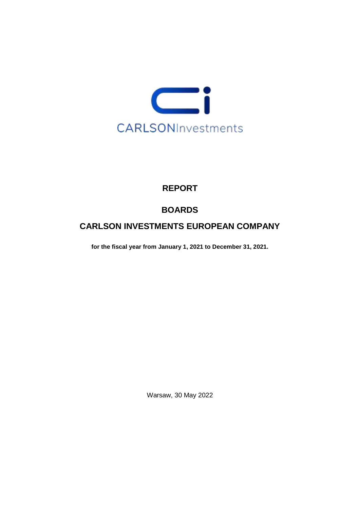

## **REPORT**

# **BOARDS**

## **CARLSON INVESTMENTS EUROPEAN COMPANY**

**for the fiscal year from January 1, 2021 to December 31, 2021.**

Warsaw, 30 May 2022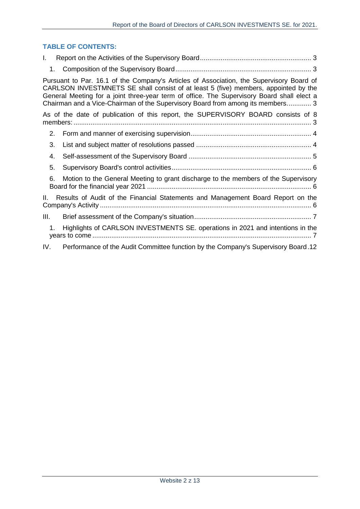### **TABLE OF CONTENTS:**

| L.   |                                                                                                                                                                                                                                                                                                                                                                 |
|------|-----------------------------------------------------------------------------------------------------------------------------------------------------------------------------------------------------------------------------------------------------------------------------------------------------------------------------------------------------------------|
|      |                                                                                                                                                                                                                                                                                                                                                                 |
|      | Pursuant to Par. 16.1 of the Company's Articles of Association, the Supervisory Board of<br>CARLSON INVESTMNETS SE shall consist of at least 5 (five) members, appointed by the<br>General Meeting for a joint three-year term of office. The Supervisory Board shall elect a<br>Chairman and a Vice-Chairman of the Supervisory Board from among its members 3 |
|      | As of the date of publication of this report, the SUPERVISORY BOARD consists of 8                                                                                                                                                                                                                                                                               |
| 2.   |                                                                                                                                                                                                                                                                                                                                                                 |
| 3.   |                                                                                                                                                                                                                                                                                                                                                                 |
| 4.   |                                                                                                                                                                                                                                                                                                                                                                 |
| 5.   |                                                                                                                                                                                                                                                                                                                                                                 |
| 6.   | Motion to the General Meeting to grant discharge to the members of the Supervisory                                                                                                                                                                                                                                                                              |
| Ш.   | Results of Audit of the Financial Statements and Management Board Report on the                                                                                                                                                                                                                                                                                 |
| III. |                                                                                                                                                                                                                                                                                                                                                                 |
| 1.   | Highlights of CARLSON INVESTMENTS SE. operations in 2021 and intentions in the                                                                                                                                                                                                                                                                                  |
| IV.  | Performance of the Audit Committee function by the Company's Supervisory Board.12                                                                                                                                                                                                                                                                               |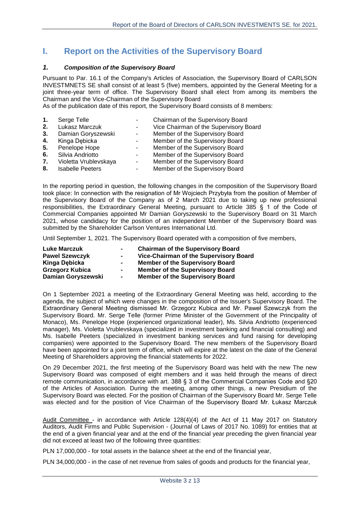### <span id="page-2-0"></span>**I. Report on the Activities of the Supervisory Board**

#### <span id="page-2-1"></span>*1. Composition of the Supervisory Board*

<span id="page-2-2"></span>Pursuant to Par. 16.1 of the Company's Articles of Association, the Supervisory Board of CARLSON INVESTMNETS SE shall consist of at least 5 (five) members, appointed by the General Meeting for a joint three-year term of office. The Supervisory Board shall elect from among its members the Chairman and the Vice-Chairman of the Supervisory Board

<span id="page-2-3"></span>As of the publication date of this report, the Supervisory Board consists of 8 members:

- **1.** Serge Telle  **Chairman of the Supervisory Board 2.** Lukasz Marczuk - Vice Chairman of the Supervisory Board **3.** Damian Goryszewski - Member of the Supervisory Board **4.** Kinga Debicka **- Member of the Supervisory Board 5.** Penelope Hope **-** Member of the Supervisory Board **6.** Silvia Andriotto **-** Member of the Supervisory Board **7.** Violetta Vrublevskaya - Member of the Supervisory Board
- 
- **8.** Isabelle Peeters Member of the Supervisory Board

In the reporting period in question, the following changes in the composition of the Supervisory Board took place: In connection with the resignation of Mr Wojciech Przybyła from the position of Member of the Supervisory Board of the Company as of 2 March 2021 due to taking up new professional responsibilities, the Extraordinary General Meeting, pursuant to Article 385 § 1 of the Code of Commercial Companies appointed Mr Damian Goryszewski to the Supervisory Board on 31 March 2021, whose candidacy for the position of an independent Member of the Supervisory Board was submitted by the Shareholder Carlson Ventures International Ltd.

Until September 1, 2021. The Supervisory Board operated with a composition of five members,

| <b>Luke Marczuk</b>    | $\sim$ | <b>Chairman of the Supervisory Board</b> |
|------------------------|--------|------------------------------------------|
| <b>Pawel Szewczyk</b>  | $\sim$ | Vice-Chairman of the Supervisory Board   |
| Kinga Debicka          | $\sim$ | <b>Member of the Supervisory Board</b>   |
| <b>Grzegorz Kubica</b> | $\sim$ | <b>Member of the Supervisory Board</b>   |
| Damian Goryszewski     | $\sim$ | <b>Member of the Supervisory Board</b>   |

On 1 September 2021 a meeting of the Extraordinary General Meeting was held, according to the agenda, the subject of which were changes in the composition of the Issuer's Supervisory Board. The Extraordinary General Meeting dismissed Mr. Grzegorz Kubica and Mr. Paweł Szewczyk from the Supervisory Board. Mr. Serge Telle (former Prime Minister of the Government of the Principality of Monaco), Ms. Penelope Hope (experienced organizational leader), Ms. Silvia Andriotto (experienced manager), Ms. Violetta Vrublevskaya (specialized in investment banking and financial consulting) and Ms. Isabelle Peeters (specialized in investment banking services and fund raising for developing companies) were appointed to the Supervisory Board. The new members of the Supervisory Board have been appointed for a joint term of office, which will expire at the latest on the date of the General Meeting of Shareholders approving the financial statements for 2022.

On 29 December 2021, the first meeting of the Supervisory Board was held with the new The new Supervisory Board was composed of eight members and it was held through the means of direct remote communication, in accordance with art. 388 § 3 of the Commercial Companies Code and §20 of the Articles of Association. During the meeting, among other things, a new Presidium of the Supervisory Board was elected. For the position of Chairman of the Supervisory Board Mr. Serge Telle was elected and for the position of Vice Chairman of the Supervisory Board Mr. Łukasz Marczuk

Audit Committee - in accordance with Article 128(4)(4) of the Act of 11 May 2017 on Statutory Auditors, Audit Firms and Public Supervision - (Journal of Laws of 2017 No. 1089) for entities that at the end of a given financial year and at the end of the financial year preceding the given financial year did not exceed at least two of the following three quantities:

PLN 17,000,000 - for total assets in the balance sheet at the end of the financial year,

PLN 34,000,000 - in the case of net revenue from sales of goods and products for the financial year,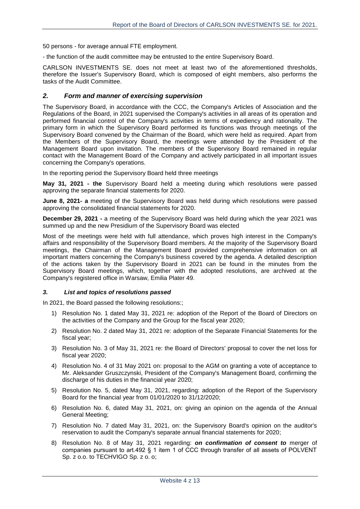50 persons - for average annual FTE employment.

- the function of the audit committee may be entrusted to the entire Supervisory Board.

CARLSON INVESTMENTS SE. does not meet at least two of the aforementioned thresholds, therefore the Issuer's Supervisory Board, which is composed of eight members, also performs the tasks of the Audit Committee.

#### <span id="page-3-0"></span>*2. Form and manner of exercising supervision*

The Supervisory Board, in accordance with the CCC, the Company's Articles of Association and the Regulations of the Board, in 2021 supervised the Company's activities in all areas of its operation and performed financial control of the Company's activities in terms of expediency and rationality. The primary form in which the Supervisory Board performed its functions was through meetings of the Supervisory Board convened by the Chairman of the Board, which were held as required. Apart from the Members of the Supervisory Board, the meetings were attended by the President of the Management Board upon invitation. The members of the Supervisory Board remained in regular contact with the Management Board of the Company and actively participated in all important issues concerning the Company's operations.

In the reporting period the Supervisory Board held three meetings

**May 31, 2021 - the** Supervisory Board held a meeting during which resolutions were passed approving the separate financial statements for 2020.

**June 8, 2021- a** meeting of the Supervisory Board was held during which resolutions were passed approving the consolidated financial statements for 2020.

**December 29, 2021 -** a meeting of the Supervisory Board was held during which the year 2021 was summed up and the new Presidium of the Supervisory Board was elected

Most of the meetings were held with full attendance, which proves high interest in the Company's affairs and responsibility of the Supervisory Board members. At the majority of the Supervisory Board meetings, the Chairman of the Management Board provided comprehensive information on all important matters concerning the Company's business covered by the agenda. A detailed description of the actions taken by the Supervisory Board in 2021 can be found in the minutes from the Supervisory Board meetings, which, together with the adopted resolutions, are archived at the Company's registered office in Warsaw, Emilia Plater 49.

#### <span id="page-3-1"></span>*3. List and topics of resolutions passed*

In 2021, the Board passed the following resolutions:;

- 1) Resolution No. 1 dated May 31, 2021 re: adoption of the Report of the Board of Directors on the activities of the Company and the Group for the fiscal year 2020;
- 2) Resolution No. 2 dated May 31, 2021 re: adoption of the Separate Financial Statements for the fiscal year;
- 3) Resolution No. 3 of May 31, 2021 re: the Board of Directors' proposal to cover the net loss for fiscal year 2020;
- 4) Resolution No. 4 of 31 May 2021 on: proposal to the AGM on granting a vote of acceptance to Mr. Aleksander Gruszczynski, President of the Company's Management Board, confirming the discharge of his duties in the financial year 2020;
- 5) Resolution No. 5, dated May 31, 2021, regarding: adoption of the Report of the Supervisory Board for the financial year from 01/01/2020 to 31/12/2020;
- 6) Resolution No. 6, dated May 31, 2021, on: giving an opinion on the agenda of the Annual General Meeting;
- 7) Resolution No. 7 dated May 31, 2021, on: the Supervisory Board's opinion on the auditor's reservation to audit the Company's separate annual financial statements for 2020;
- 8) Resolution No. 8 of May 31, 2021 regarding: *on confirmation of consent to* merger of companies pursuant to art.492 § 1 item 1 of CCC through transfer of all assets of POLVENT Sp. z o.o. to TECHVIGO Sp. z o. o;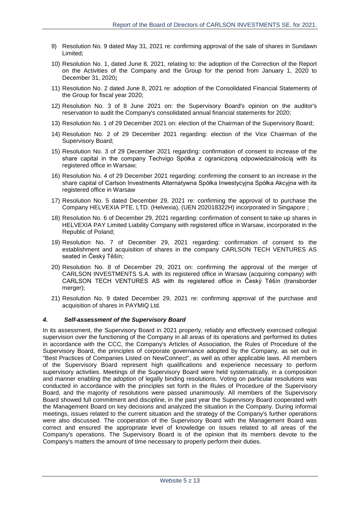- 9) Resolution No. 9 dated May 31, 2021 re: confirming approval of the sale of shares in Sundawn Limited;
- 10) Resolution No. 1, dated June 8, 2021, relating to: the adoption of the Correction of the Report on the Activities of the Company and the Group for the period from January 1, 2020 to December 31, 2020**;**
- 11) Resolution No. 2 dated June 8, 2021 re: adoption of the Consolidated Financial Statements of the Group for fiscal year 2020;
- 12) Resolution No. 3 of 8 June 2021 on: the Supervisory Board's opinion on the auditor's reservation to audit the Company's consolidated annual financial statements for 2020;
- 13) Resolution No. 1 of 29 December 2021 on: election of the Chairman of the Supervisory Board;
- 14) Resolution No. 2 of 29 December 2021 regarding: election of the Vice Chairman of the Supervisory Board;
- 15) Resolution No. 3 of 29 December 2021 regarding: confirmation of consent to increase of the share capital in the company Techvigo Spółka z ograniczoną odpowiedzialnością with its registered office in Warsaw;
- 16) Resolution No. 4 of 29 December 2021 regarding: confirming the consent to an increase in the share capital of Carlson Investments Alternatywna Spółka Inwestycyjna Spółka Akcyjna with its registered office in Warsaw
- 17) Resolution No. 5 dated December 29, 2021 re: confirming the approval of to purchase the Company HELVEXIA PTE. LTD. (Helvexia), (UEN 202018322H) incorporated in Singapore ;
- 18) Resolution No. 6 of December 29, 2021 regarding: confirmation of consent to take up shares in HELVEXIA PAY Limited Liability Company with registered office in Warsaw, incorporated in the Republic of Poland;
- 19) Resolution No. 7 of December 29, 2021 regarding: confirmation of consent to the establishment and acquisition of shares in the company CARLSON TECH VENTURES AS seated in Český Těšín;
- 20) Resolution No. 8 of December 29, 2021 on: confirming the approval of the merger of CARLSON INVESTMENTS S.A. with its registered office in Warsaw (acquiring company) with CARLSON TECH VENTURES AS with its registered office in Český Těšín (transborder merger);
- 21) Resolution No. 9 dated December 29, 2021 re: confirming approval of the purchase and acquisition of shares in PAYMIQ Ltd.

#### <span id="page-4-0"></span>*4. Self-assessment of the Supervisory Board*

In its assessment, the Supervisory Board in 2021 properly, reliably and effectively exercised collegial supervision over the functioning of the Company in all areas of its operations and performed its duties in accordance with the CCC, the Company's Articles of Association, the Rules of Procedure of the Supervisory Board, the principles of corporate governance adopted by the Company, as set out in "Best Practices of Companies Listed on NewConnect", as well as other applicable laws. All members of the Supervisory Board represent high qualifications and experience necessary to perform supervisory activities. Meetings of the Supervisory Board were held systematically, in a composition and manner enabling the adoption of legally binding resolutions. Voting on particular resolutions was conducted in accordance with the principles set forth in the Rules of Procedure of the Supervisory Board, and the majority of resolutions were passed unanimously. All members of the Supervisory Board showed full commitment and discipline, in the past year the Supervisory Board cooperated with the Management Board on key decisions and analyzed the situation in the Company. During informal meetings, issues related to the current situation and the strategy of the Company's further operations were also discussed. The cooperation of the Supervisory Board with the Management Board was correct and ensured the appropriate level of knowledge on issues related to all areas of the Company's operations. The Supervisory Board is of the opinion that its members devote to the Company's matters the amount of time necessary to properly perform their duties.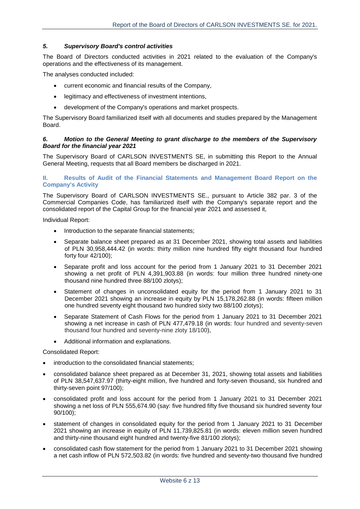#### <span id="page-5-0"></span>*5. Supervisory Board's control activities*

The Board of Directors conducted activities in 2021 related to the evaluation of the Company's operations and the effectiveness of its management.

The analyses conducted included:

- current economic and financial results of the Company,
- legitimacy and effectiveness of investment intentions,
- development of the Company's operations and market prospects.

The Supervisory Board familiarized itself with all documents and studies prepared by the Management Board.

#### <span id="page-5-1"></span>*6. Motion to the General Meeting to grant discharge to the members of the Supervisory Board for the financial year 2021*

The Supervisory Board of CARLSON INVESTMENTS SE, in submitting this Report to the Annual General Meeting, requests that all Board members be discharged in 2021.

#### <span id="page-5-2"></span>**II. Results of Audit of the Financial Statements and Management Board Report on the Company's Activity**

The Supervisory Board of CARLSON INVESTMENTS SE., pursuant to Article 382 par. 3 of the Commercial Companies Code, has familiarized itself with the Company's separate report and the consolidated report of the Capital Group for the financial year 2021 and assessed it,

Individual Report:

- Introduction to the separate financial statements;
- Separate balance sheet prepared as at 31 December 2021, showing total assets and liabilities of PLN 30,958,444.42 (in words: thirty million nine hundred fifty eight thousand four hundred forty four 42/100);
- Separate profit and loss account for the period from 1 January 2021 to 31 December 2021 showing a net profit of PLN 4,391,903.88 (in words: four million three hundred ninety-one thousand nine hundred three 88/100 zlotys);
- Statement of changes in unconsolidated equity for the period from 1 January 2021 to 31 December 2021 showing an increase in equity by PLN 15,178,262.88 (in words: fifteen million one hundred seventy eight thousand two hundred sixty two 88/100 zlotys);
- Separate Statement of Cash Flows for the period from 1 January 2021 to 31 December 2021 showing a net increase in cash of PLN 477,479.18 (in words: four hundred and seventy-seven thousand four hundred and seventy-nine zloty 18/100),
- Additional information and explanations.

Consolidated Report:

- introduction to the consolidated financial statements;
- consolidated balance sheet prepared as at December 31, 2021, showing total assets and liabilities of PLN 38,547,637.97 (thirty-eight million, five hundred and forty-seven thousand, six hundred and thirty-seven point 97/100);
- consolidated profit and loss account for the period from 1 January 2021 to 31 December 2021 showing a net loss of PLN 555,674.90 (say: five hundred fifty five thousand six hundred seventy four 90/100);
- statement of changes in consolidated equity for the period from 1 January 2021 to 31 December 2021 showing an increase in equity of PLN 11,739,825.81 (in words: eleven million seven hundred and thirty-nine thousand eight hundred and twenty-five 81/100 zlotys);
- consolidated cash flow statement for the period from 1 January 2021 to 31 December 2021 showing a net cash inflow of PLN 572,503.82 (in words: five hundred and seventy-two thousand five hundred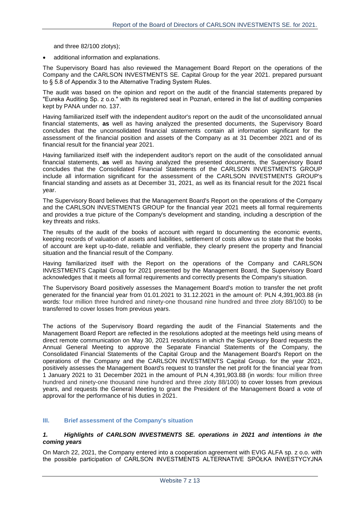and three 82/100 zlotys);

additional information and explanations.

The Supervisory Board has also reviewed the Management Board Report on the operations of the Company and the CARLSON INVESTMENTS SE. Capital Group for the year 2021. prepared pursuant to § 5.8 of Appendix 3 to the Alternative Trading System Rules.

The audit was based on the opinion and report on the audit of the financial statements prepared by "Eureka Auditing Sp. z o.o." with its registered seat in Poznań, entered in the list of auditing companies kept by PANA under no. 137.

Having familiarized itself with the independent auditor's report on the audit of the unconsolidated annual financial statements, **as** well as having analyzed the presented documents, the Supervisory Board concludes that the unconsolidated financial statements contain all information significant for the assessment of the financial position and assets of the Company as at 31 December 2021 and of its financial result for the financial year 2021.

Having familiarized itself with the independent auditor's report on the audit of the consolidated annual financial statements, **as** well as having analyzed the presented documents, the Supervisory Board concludes that the Consolidated Financial Statements of the CARLSON INVESTMENTS GROUP include all information significant for the assessment of the CARLSON INVESTMENTS GROUP's financial standing and assets as at December 31, 2021, as well as its financial result for the 2021 fiscal year.

The Supervisory Board believes that the Management Board's Report on the operations of the Company and the CARLSON INVESTMENTS GROUP for the financial year 2021 meets all formal requirements and provides a true picture of the Company's development and standing, including a description of the key threats and risks.

The results of the audit of the books of account with regard to documenting the economic events, keeping records of valuation of assets and liabilities, settlement of costs allow us to state that the books of account are kept up-to-date, reliable and verifiable, they clearly present the property and financial situation and the financial result of the Company.

Having familiarized itself with the Report on the operations of the Company and CARLSON INVESTMENTS Capital Group for 2021 presented by the Management Board, the Supervisory Board acknowledges that it meets all formal requirements and correctly presents the Company's situation.

The Supervisory Board positively assesses the Management Board's motion to transfer the net profit generated for the financial year from 01.01.2021 to 31.12.2021 in the amount of: PLN 4,391,903.88 (in words: four million three hundred and ninety-one thousand nine hundred and three zloty 88/100) to be transferred to cover losses from previous years.

The actions of the Supervisory Board regarding the audit of the Financial Statements and the Management Board Report are reflected in the resolutions adopted at the meetings held using means of direct remote communication on May 30, 2021 resolutions in which the Supervisory Board requests the Annual General Meeting to approve the Separate Financial Statements of the Company, the Consolidated Financial Statements of the Capital Group and the Management Board's Report on the operations of the Company and the CARLSON INVESTMENTS Capital Group. for the year 2021, positively assesses the Management Board's request to transfer the net profit for the financial year from 1 January 2021 to 31 December 2021 in the amount of PLN 4,391,903.88 (in words: four million three hundred and ninety-one thousand nine hundred and three zloty 88/100) to cover losses from previous years, and requests the General Meeting to grant the President of the Management Board a vote of approval for the performance of his duties in 2021.

#### <span id="page-6-0"></span>**III. Brief assessment of the Company's situation**

#### <span id="page-6-1"></span>*1. Highlights of CARLSON INVESTMENTS SE. operations in 2021 and intentions in the coming years*

On March 22, 2021, the Company entered into a cooperation agreement with EVIG ALFA sp. z o.o. with the possible participation of CARLSON INVESTMENTS ALTERNATIVE SPÓŁKA INWESTYCYJNA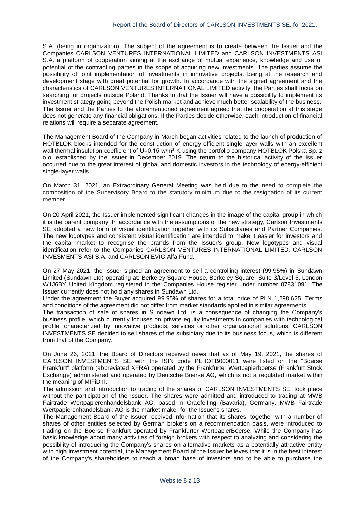S.A. (being in organization). The subject of the agreement is to create between the Issuer and the Companies CARLSON VENTURES INTERNATIONAL LIMITED and CARLSON INVESTMENTS ASI S.A. a platform of cooperation aiming at the exchange of mutual experience, knowledge and use of potential of the contracting parties in the scope of acquiring new investments. The parties assume the possibility of joint implementation of investments in innovative projects, being at the research and development stage with great potential for growth. In accordance with the signed agreement and the characteristics of CARLSON VENTURES INTERNATIONAL LIMITED activity, the Parties shall focus on searching for projects outside Poland. Thanks to that the Issuer will have a possibility to implement its investment strategy going beyond the Polish market and achieve much better scalability of the business. The Issuer and the Parties to the aforementioned agreement agreed that the cooperation at this stage does not generate any financial obligations. If the Parties decide otherwise, each introduction of financial relations will require a separate agreement.

The Management Board of the Company in March began activities related to the launch of production of HOTBLOK blocks intended for the construction of energy-efficient single-layer walls with an excellent wall thermal insulation coefficient of U=0.15 w/m<sup>2</sup>-K using the portfolio company HOTBLOK Polska Sp. z o.o. established by the Issuer in December 2019. The return to the historical activity of the Issuer occurred due to the great interest of global and domestic investors in the technology of energy-efficient single-layer walls.

On March 31, 2021, an Extraordinary General Meeting was held due to the need to complete the composition of the Supervisory Board to the statutory minimum due to the resignation of its current member.

On 20 April 2021, the Issuer implemented significant changes in the image of the capital group in which it is the parent company. In accordance with the assumptions of the new strategy, Carlson Investments SE adopted a new form of visual identification together with its Subsidiaries and Partner Companies. The new logotypes and consistent visual identification are intended to make it easier for investors and the capital market to recognise the brands from the Issuer's group. New logotypes and visual identification refer to the Companies CARLSON VENTURES INTERNATIONAL LIMITED, CARLSON INVESMENTS ASI S.A. and CARLSON EVIG Alfa Fund.

On 27 May 2021, the Issuer signed an agreement to sell a controlling interest (99.95%) in Sundawn Limited (Sundawn Ltd) operating at: Berkeley Square House, Berkeley Square, Suite 3/Level 5, London W1J6BY United Kingdom registered in the Companies House register under number 07831091. The Issuer currently does not hold any shares in Sundawn Ltd.

Under the agreement the Buyer acquired 99.95% of shares for a total price of PLN 1,298,625. Terms and conditions of the agreement did not differ from market standards applied in similar agreements.

The transaction of sale of shares in Sundawn Ltd. is a consequence of changing the Company's business profile, which currently focuses on private equity investments in companies with technological profile, characterized by innovative products, services or other organizational solutions. CARLSON INVESTMENTS SE decided to sell shares of the subsidiary due to its business focus, which is different from that of the Company.

On June 26, 2021, the Board of Directors received news that as of May 19, 2021, the shares of CARLSON INVESTMENTS SE with the ISIN code PLHOTB000011 were listed on the "Boerse Frankfurt" platform (abbreviated XFRA) operated by the Frankfurter Wertpapierboerse (Frankfurt Stock Exchange) administered and operated by Deutsche Boerse AG, which is not a regulated market within the meaning of MIFiD II.

The admission and introduction to trading of the shares of CARLSON INVESTMENTS SE. took place without the participation of the Issuer. The shares were admitted and introduced to trading at MWB Fairtrade Wertpapierenhandelsbank AG, based in Graefelfing (Bavaria), Germany. MWB Fairtrade Wertpapierenhandelsbank AG is the market maker for the Issuer's shares.

The Management Board of the Issuer received information that its shares, together with a number of shares of other entities selected by German brokers on a recommendation basis, were introduced to trading on the Boerse Frankfurt operated by Frankfurter WertpapierBoerse. While the Company has basic knowledge about many activities of foreign brokers with respect to analyzing and considering the possibility of introducing the Company's shares on alternative markets as a potentially attractive entity with high investment potential, the Management Board of the Issuer believes that it is in the best interest of the Company's shareholders to reach a broad base of investors and to be able to purchase the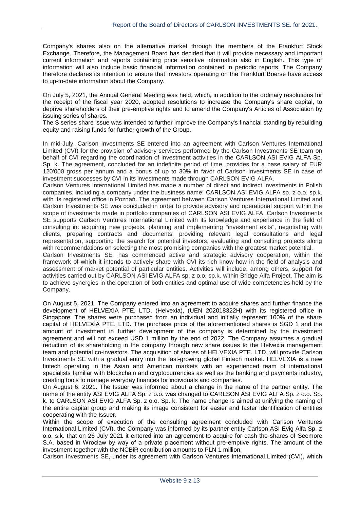Company's shares also on the alternative market through the members of the Frankfurt Stock Exchange. Therefore, the Management Board has decided that it will provide necessary and important current information and reports containing price sensitive information also in English. This type of information will also include basic financial information contained in periodic reports. The Company therefore declares its intention to ensure that investors operating on the Frankfurt Boerse have access to up-to-date information about the Company.

On July 5, 2021, the Annual General Meeting was held, which, in addition to the ordinary resolutions for the receipt of the fiscal year 2020, adopted resolutions to increase the Company's share capital, to deprive shareholders of their pre-emptive rights and to amend the Company's Articles of Association by issuing series of shares.

The S series share issue was intended to further improve the Company's financial standing by rebuilding equity and raising funds for further growth of the Group.

In mid-July, Carlson Investments SE entered into an agreement with Carlson Ventures International Limited (CVI) for the provision of advisory services performed by the Carlson Investments SE team on behalf of CVI regarding the coordination of investment activities in the CARLSON ASI EVIG ALFA Sp. Sp. k. The agreement, concluded for an indefinite period of time, provides for a base salary of EUR 120'000 gross per annum and a bonus of up to 30% in favor of Carlson Investments SE in case of investment successes by CVI in its investments made through CARLSON EVIG ALFA.

Carlson Ventures International Limited has made a number of direct and indirect investments in Polish companies, including a company under the business name: CARLSON ASI EVIG ALFA sp. z o.o. sp.k. with its registered office in Poznań. The agreement between Carlson Ventures International Limited and Carlson Investments SE was concluded in order to provide advisory and operational support within the scope of investments made in portfolio companies of CARLSON ASI EVIG ALFA. Carlson Investments SE supports Carlson Ventures International Limited with its knowledge and experience in the field of consulting in: acquiring new projects, planning and implementing "investment exits", negotiating with clients, preparing contracts and documents, providing relevant legal consultations and legal representation, supporting the search for potential investors, evaluating and consulting projects along with recommendations on selecting the most promising companies with the greatest market potential.

Carlson Investments SE*.* has commenced active and strategic advisory cooperation, within the framework of which it intends to actively share with CVI its rich know-how in the field of analysis and assessment of market potential of particular entities. Activities will include, among others, support for activities carried out by CARLSON ASI EVIG ALFA sp. z o.o. sp.k. within Bridge Alfa Project. The aim is to achieve synergies in the operation of both entities and optimal use of wide competencies held by the Company.

On August 5, 2021. The Company entered into an agreement to acquire shares and further finance the development of HELVEXIA PTE. LTD. (Helvexia), (UEN 202018322H) with its registered office in Singapore. The shares were purchased from an individual and initially represent 100% of the share capital of HELVEXIA PTE. LTD**.** The purchase price of the aforementioned shares is SGD 1 and the amount of investment in further development of the company is determined by the investment agreement and will not exceed USD 1 million by the end of 2022. The Company assumes a gradual reduction of its shareholding in the company through new share issues to the Helvexia management team and potential co-investors. The acquisition of shares of HELVEXIA PTE. LTD. will provide Carlson Investments SE with a gradual entry into the fast-growing global Fintech market. HELVEXIA is a new fintech operating in the Asian and American markets with an experienced team of international specialists familiar with Blockchain and cryptocurrencies as well as the banking and payments industry, creating tools to manage everyday finances for individuals and companies.

On August 6, 2021. The Issuer was informed about a change in the name of the partner entity. The name of the entity ASI EVIG ALFA Sp. z o.o. was changed to CARLSON ASI EVIG ALFA Sp. z o.o. Sp. k. to CARLSON ASI EVIG ALFA Sp. z o.o. Sp. k. The name change is aimed at unifying the naming of the entire capital group and making its image consistent for easier and faster identification of entities cooperating with the Issuer.

Within the scope of execution of the consulting agreement concluded with Carlson Ventures International Limited (CVI), the Company was informed by its partner entity Carlson ASI Evig Alfa Sp. z o.o. s.k. that on 26 July 2021 it entered into an agreement to acquire for cash the shares of Seemore S.A. based in Wrocław by way of a private placement without pre-emptive rights. The amount of the investment together with the NCBiR contribution amounts to PLN 1 million.

Carlson Investments SE, under its agreement with Carlson Ventures International Limited (CVI), which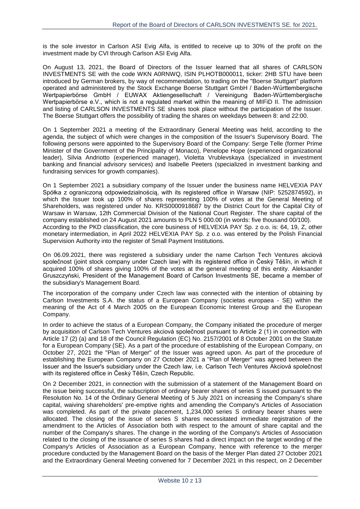is the sole investor in Carlson ASI Evig Alfa, is entitled to receive up to 30% of the profit on the investment made by CVI through Carlson ASI Evig Alfa.

On August 13, 2021, the Board of Directors of the Issuer learned that all shares of CARLSON INVESTMENTS SE with the code WKN A0RNWQ, ISIN PLHOTB000011, ticker: 2HB STU have been introduced by German brokers, by way of recommendation, to trading on the "Boerse Stuttgart" platform operated and administered by the Stock Exchange Boerse Stuttgart GmbH / Baden-Württembergische Wertpapierbörse GmbH / EUWAX Aktiengesellschaft / Vereinigung Baden-Württembergische Wertpapierbörse e.V., which is not a regulated market within the meaning of MIFiD II. The admission and listing of CARLSON INVESTMENTS SE shares took place without the participation of the Issuer. The Boerse Stuttgart offers the possibility of trading the shares on weekdays between 8: and 22:00.

On 1 September 2021 a meeting of the Extraordinary General Meeting was held, according to the agenda, the subject of which were changes in the composition of the Issuer's Supervisory Board. The following persons were appointed to the Supervisory Board of the Company: Serge Telle (former Prime Minister of the Government of the Principality of Monaco), Penelope Hope (experienced organizational leader), Silvia Andriotto (experienced manager), Violetta Vrublevskaya (specialized in investment banking and financial advisory services) and Isabelle Peeters (specialized in investment banking and fundraising services for growth companies).

On 1 September 2021 a subsidiary company of the Issuer under the business name HELVEXIA PAY Spółka z ograniczoną odpowiedzialnością, with its registered office in Warsaw (NIP: 5252874592), in which the Issuer took up 100% of shares representing 100% of votes at the General Meeting of Shareholders, was registered under No. KRS0000918687 by the District Court for the Capital City of Warsaw in Warsaw, 12th Commercial Division of the National Court Register. The share capital of the company established on 24 August 2021 amounts to PLN 5 000.00 (in words: five thousand 00/100). According to the PKD classification, the core business of HELVEXIA PAY Sp. z o.o. is: 64, 19, Z, other monetary intermediation, in April 2022 HELVEXIA PAY Sp. z o.o. was entered by the Polish Financial Supervision Authority into the register of Small Payment Institutions.

On 06.09.2021, there was registered a subsidiary under the name Carlson Tech Ventures akciová společnost (joint stock company under Czech law) with its registered office in Český Těšín, in which it acquired 100% of shares giving 100% of the votes at the general meeting of this entity. Aleksander Gruszczyński, President of the Management Board of Carlson Investments SE, became a member of the subsidiary's Management Board.

The incorporation of the company under Czech law was connected with the intention of obtaining by Carlson Investments S.A. the status of a European Company (societas europaea - SE) within the meaning of the Act of 4 March 2005 on the European Economic Interest Group and the European Company.

In order to achieve the status of a European Company, the Company initiated the procedure of merger by acquisition of Carlson Tech Ventures akciová společnost pursuant to Article 2 (1) in connection with Article 17 (2) (a) and 18 of the Council Regulation (EC) No. 2157/2001 of 8 October 2001 on the Statute for a European Company (SE). As a part of the procedure of establishing of the European Company, on October 27, 2021 the "Plan of Merger" of the Issuer was agreed upon. As part of the procedure of establishing the European Company on 27 October 2021 a "Plan of Merger" was agreed between the Issuer and the Issuer's subsidiary under the Czech law, i.e. Carlson Tech Ventures Akciová společnost with its registered office in Český Těšín, Czech Republic.

On 2 December 2021, in connection with the submission of a statement of the Management Board on the issue being successful, the subscription of ordinary bearer shares of series S issued pursuant to the Resolution No. 14 of the Ordinary General Meeting of 5 July 2021 on increasing the Company's share capital, waiving shareholders' pre-emptive rights and amending the Company's Articles of Association was completed. As part of the private placement, 1,234,000 series S ordinary bearer shares were allocated. The closing of the issue of series S shares necessitated immediate registration of the amendment to the Articles of Association both with respect to the amount of share capital and the number of the Company's shares. The change in the wording of the Company's Articles of Association related to the closing of the issuance of series S shares had a direct impact on the target wording of the Company's Articles of Association as a European Company, hence with reference to the merger procedure conducted by the Management Board on the basis of the Merger Plan dated 27 October 2021 and the Extraordinary General Meeting convened for 7 December 2021 in this respect, on 2 December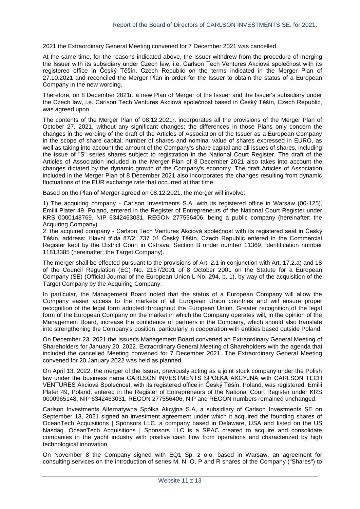2021 the Extraordinary General Meeting convened for 7 December 2021 was cancelled.

At the same time, for the reasons indicated above, the Issuer withdrew from the procedure of merging the Issuer with its subsidiary under Czech law, i.e. Carlson Tech Ventures Akciová společnost with its registered office in Český Těšín, Czech Republic on the terms indicated in the Merger Plan of 27.10.2021 and reconciled the Merger Plan in order for the Issuer to obtain the status of a European Company in the new wording.

Therefore, on 8 December 2021r. a new Plan of Merger of the Issuer and the Issuer's subsidiary under the Czech law, i.e. Carlson Tech Ventures Akciová společnost based in Český Těšín, Czech Republic, was agreed upon.

The contents of the Merger Plan of 08.12.2021r. incorporates all the provisions of the Merger Plan of October 27, 2021, without any significant changes; the differences in those Plans only concern the changes in the wording of the draft of the Articles of Association of the Issuer as a European Company in the scope of share capital, number of shares and nominal value of shares expressed in EURO, as well as taking into account the amount of the Company's share capital and all issues of shares, including the issue of "S" series shares subject to registration in the National Court Register. The draft of the Articles of Association included in the Merger Plan of 8 December 2021 also takes into account the changes dictated by the dynamic growth of the Company's economy. The draft Articles of Association included in the Merger Plan of 8 December 2021 also incorporates the changes resulting from dynamic fluctuations of the EUR exchange rate that occurred at that time.

Based on the Plan of Merger agreed on 08.12.2021, the merger will involve:

1) The acquiring company - Carlson Investments S.A. with its registered office in Warsaw (00-125), Emilii Plater 49, Poland, entered in the Register of Entrepreneurs of the National Court Register under KRS 0000148769, NIP 6342463031, REGON 277556406, being a public company (hereinafter: the Acquiring Company).

2. the acquired company - Carlson Tech Ventures Akciová společnost with its registered seat in Český Těšín, address: Hlavní třída 87/2, 737 01 Český Těšín, Czech Republic entered in the Commercial Register kept by the District Court in Ostrava, Section B under number 11369, identification number 11813385 (hereinafter: the Target Company).

The merger shall be effected pursuant to the provisions of Art. 2.1 in conjunction with Art. 17.2.a) and 18 of the Council Regulation (EC) No. 2157/2001 of 8 October 2001 on the Statute for a European Company (SE) (Official Journal of the European Union L No. 294, p. 1), by way of the acquisition of the Target Company by the Acquiring Company.

In particular, the Management Board noted that the status of a European Company will allow the Company easier access to the markets of all European Union countries and will ensure proper recognition of the legal form adopted throughout the European Union. Greater recognition of the legal form of the European Company on the market in which the Company operates will, in the opinion of the Management Board, increase the confidence of partners in the Company, which should also translate into strengthening the Company's position, particularly in cooperation with entities based outside Poland.

On December 23, 2021 the Issuer's Management Board convened an Extraordinary General Meeting of Shareholders for January 20, 2022. Extraordinary General Meeting of Shareholders with the agenda that included the cancelled Meeting convened for 7 December 2021. The Extraordinary General Meeting convened for 20 January 2022 was held as planned.

On April 13, 2022, the merger of the Issuer, previously acting as a joint stock company under the Polish law under the business name CARLSON INVESTMENTS SPÓŁKA AKCYJNA with CARLSON TECH VENTURES Akciová Společnost, with its registered office in Český Těšín, Poland, was registered. Emilii Plater 49, Poland, entered in the Register of Entrepreneurs of the National Court Register under KRS 0000965148, NIP 6342463031, REGON 277556406, NIP and REGON numbers remained unchanged.

Carlson Investments Alternatywna Spółka Akcyjna S.A, a subsidiary of Carlson Investments SE on September 13, 2021 signed an investment agreement under which it acquired the founding shares of OceanTech Acquisitions | Sponsors LLC, a company based in Delaware, USA and listed on the US Nasdaq. OceanTech Acquisitions | Sponsors LLC is a SPAC created to acquire and consolidate companies in the yacht industry with positive cash flow from operations and characterized by high technological innovation.

On November 8 the Company signed with EQ1 Sp. z o.o. based in Warsaw, an agreement for consulting services on the introduction of series M, N, O, P and R shares of the Company ("Shares") to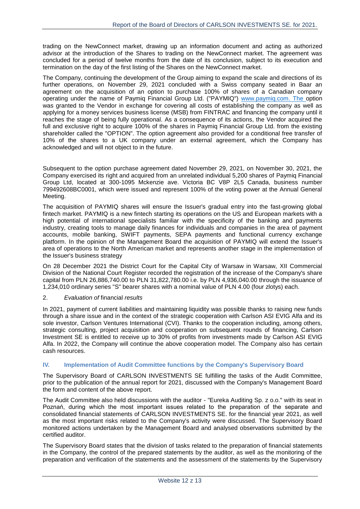trading on the NewConnect market, drawing up an information document and acting as authorized advisor at the introduction of the Shares to trading on the NewConnect market. The agreement was concluded for a period of twelve months from the date of its conclusion, subject to its execution and termination on the day of the first listing of the Shares on the NewConnect market.

The Company, continuing the development of the Group aiming to expand the scale and directions of its further operations, on November 29, 2021 concluded with a Swiss company seated in Baar an agreement on the acquisition of an option to purchase 100% of shares of a Canadian company operating under the name of Paymiq Financial Group Ltd. ("PAYMIQ") www.paymiq.com. The option was granted to the Vendor in exchange for covering all costs of establishing the company as well as applying for a money services business license (MSB) from FINTRAC and financing the company until it reaches the stage of being fully operational. As a consequence of its actions, the Vendor acquired the full and exclusive right to acquire 100% of the shares in Paymiq Financial Group Ltd. from the existing shareholder called the "OPTION". The option agreement also provided for a conditional free transfer of 10% of the shares to a UK company under an external agreement, which the Company has acknowledged and will not object to in the future.

Subsequent to the option purchase agreement dated November 29, 2021, on November 30, 2021, the Company exercised its right and acquired from an unrelated individual 5,200 shares of Paymiq Financial Group Ltd, located at 300-1095 Mckenzie ave. Victoria BC V8P 2L5 Canada, business number 799492608BC0001, which were issued and represent 100% of the voting power at the Annual General Meeting.

The acquisition of PAYMIQ shares will ensure the Issuer's gradual entry into the fast-growing global fintech market. PAYMIQ is a new fintech starting its operations on the US and European markets with a high potential of international specialists familiar with the specificity of the banking and payments industry, creating tools to manage daily finances for individuals and companies in the area of payment accounts, mobile banking, SWIFT payments, SEPA payments and functional currency exchange platform. In the opinion of the Management Board the acquisition of PAYMIQ will extend the Issuer's area of operations to the North American market and represents another stage in the implementation of the Issuer's business strategy

On 28 December 2021 the District Court for the Capital City of Warsaw in Warsaw, XII Commercial Division of the National Court Register recorded the registration of the increase of the Company's share capital from PLN 26,886,740.00 to PLN 31,822,780.00 i.e. by PLN 4,936,040.00 through the issuance of 1,234,010 ordinary series "S" bearer shares with a nominal value of PLN 4.00 (four zlotys) each.

#### 2. *Evaluation of* financial *results*

In 2021, payment of current liabilities and maintaining liquidity was possible thanks to raising new funds through a share issue and in the context of the strategic cooperation with Carlson ASI EVIG Alfa and its sole investor, Carlson Ventures International (CVI). Thanks to the cooperation including, among others, strategic consulting, project acquisition and cooperation on subsequent rounds of financing, Carlson Investment SE is entitled to receive up to 30% of profits from investments made by Carlson ASI EVIG Alfa. In 2022, the Company will continue the above cooperation model. The Company also has certain cash resources.

#### <span id="page-11-0"></span>**IV. Implementation of Audit Committee functions by the Company's Supervisory Board**

The Supervisory Board of CARLSON INVESTMENTS SE fulfilling the tasks of the Audit Committee, prior to the publication of the annual report for 2021, discussed with the Company's Management Board the form and content of the above report.

The Audit Committee also held discussions with the auditor - "Eureka Auditing Sp. z o.o." with its seat in Poznań, during which the most important issues related to the preparation of the separate and consolidated financial statements of CARLSON INVESTMENTS SE. for the financial year 2021, as well as the most important risks related to the Company's activity were discussed. The Supervisory Board monitored actions undertaken by the Management Board and analysed observations submitted by the certified auditor.

The Supervisory Board states that the division of tasks related to the preparation of financial statements in the Company, the control of the prepared statements by the auditor, as well as the monitoring of the preparation and verification of the statements and the assessment of the statements by the Supervisory